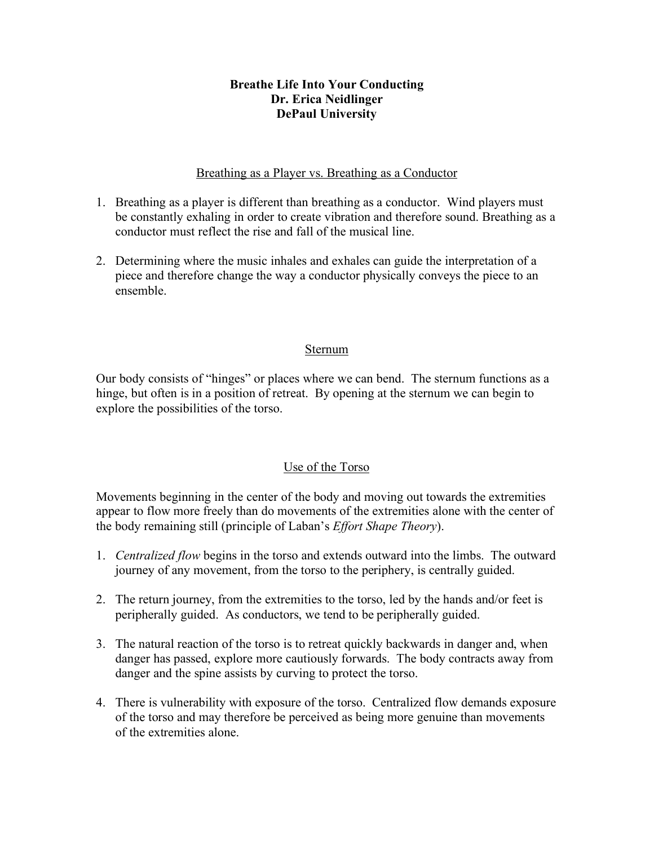### **Breathe Life Into Your Conducting Dr. Erica Neidlinger DePaul University**

### Breathing as a Player vs. Breathing as a Conductor

- 1. Breathing as a player is different than breathing as a conductor. Wind players must be constantly exhaling in order to create vibration and therefore sound. Breathing as a conductor must reflect the rise and fall of the musical line.
- 2. Determining where the music inhales and exhales can guide the interpretation of a piece and therefore change the way a conductor physically conveys the piece to an ensemble.

#### Sternum

Our body consists of "hinges" or places where we can bend. The sternum functions as a hinge, but often is in a position of retreat. By opening at the sternum we can begin to explore the possibilities of the torso.

## Use of the Torso

Movements beginning in the center of the body and moving out towards the extremities appear to flow more freely than do movements of the extremities alone with the center of the body remaining still (principle of Laban's *Effort Shape Theory*).

- 1. *Centralized flow* begins in the torso and extends outward into the limbs. The outward journey of any movement, from the torso to the periphery, is centrally guided.
- 2. The return journey, from the extremities to the torso, led by the hands and/or feet is peripherally guided. As conductors, we tend to be peripherally guided.
- 3. The natural reaction of the torso is to retreat quickly backwards in danger and, when danger has passed, explore more cautiously forwards. The body contracts away from danger and the spine assists by curving to protect the torso.
- 4. There is vulnerability with exposure of the torso. Centralized flow demands exposure of the torso and may therefore be perceived as being more genuine than movements of the extremities alone.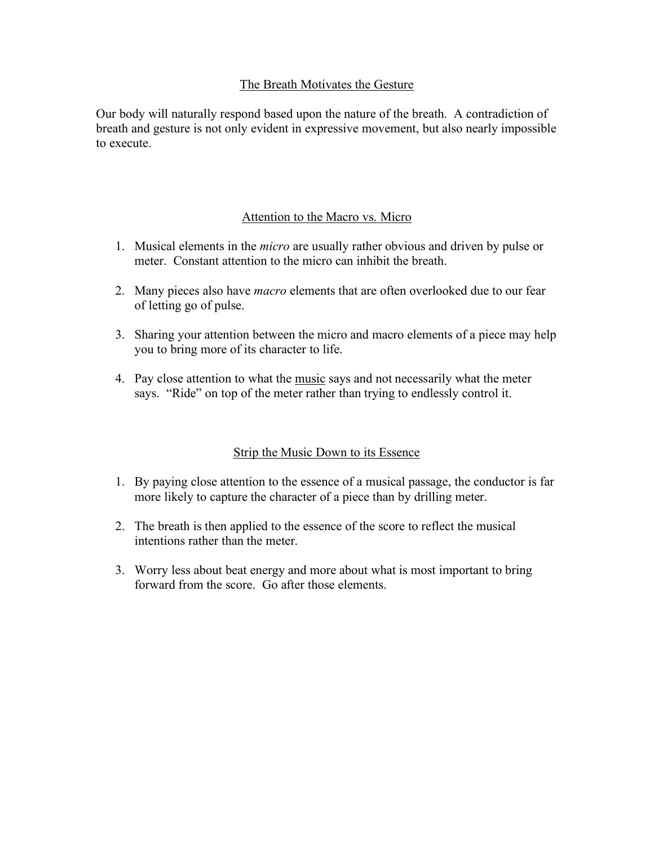## The Breath Motivates the Gesture

Our body will naturally respond based upon the nature of the breath. A contradiction of breath and gesture is not only evident in expressive movement, but also nearly impossible to execute.

## Attention to the Macro vs. Micro

- 1. Musical elements in the *micro* are usually rather obvious and driven by pulse or meter. Constant attention to the micro can inhibit the breath.
- 2. Many pieces also have *macro* elements that are often overlooked due to our fear of letting go of pulse.
- 3. Sharing your attention between the micro and macro elements of a piece may help you to bring more of its character to life.
- 4. Pay close attention to what the music says and not necessarily what the meter says. "Ride" on top of the meter rather than trying to endlessly control it.

## Strip the Music Down to its Essence

- 1. By paying close attention to the essence of a musical passage, the conductor is far more likely to capture the character of a piece than by drilling meter.
- 2. The breath is then applied to the essence of the score to reflect the musical intentions rather than the meter.
- 3. Worry less about beat energy and more about what is most important to bring forward from the score. Go after those elements.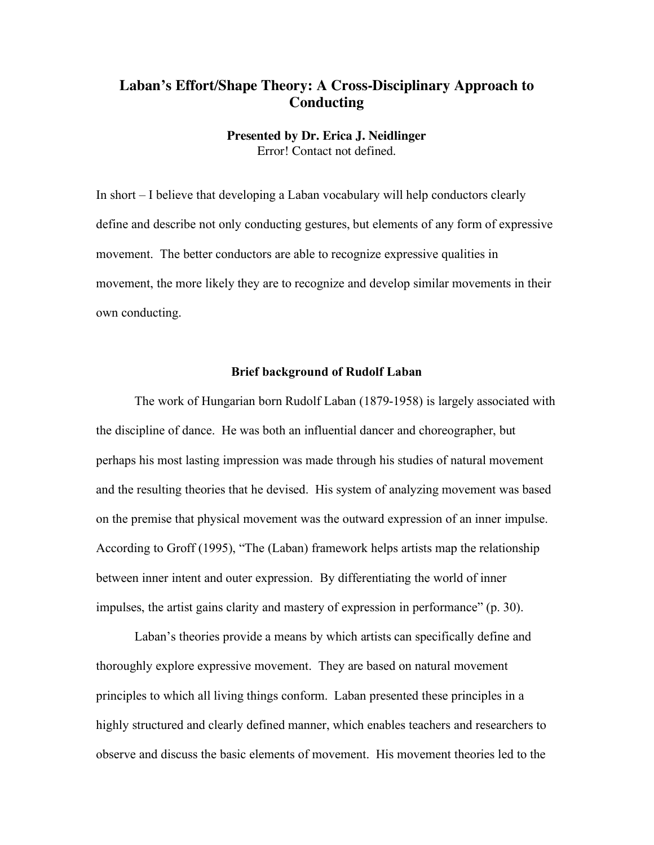# **Laban's Effort/Shape Theory: A Cross-Disciplinary Approach to Conducting**

#### **Presented by Dr. Erica J. Neidlinger** Error! Contact not defined.

In short – I believe that developing a Laban vocabulary will help conductors clearly define and describe not only conducting gestures, but elements of any form of expressive movement. The better conductors are able to recognize expressive qualities in movement, the more likely they are to recognize and develop similar movements in their own conducting.

#### **Brief background of Rudolf Laban**

The work of Hungarian born Rudolf Laban (1879-1958) is largely associated with the discipline of dance. He was both an influential dancer and choreographer, but perhaps his most lasting impression was made through his studies of natural movement and the resulting theories that he devised. His system of analyzing movement was based on the premise that physical movement was the outward expression of an inner impulse. According to Groff (1995), "The (Laban) framework helps artists map the relationship between inner intent and outer expression. By differentiating the world of inner impulses, the artist gains clarity and mastery of expression in performance" (p. 30).

Laban's theories provide a means by which artists can specifically define and thoroughly explore expressive movement. They are based on natural movement principles to which all living things conform. Laban presented these principles in a highly structured and clearly defined manner, which enables teachers and researchers to observe and discuss the basic elements of movement. His movement theories led to the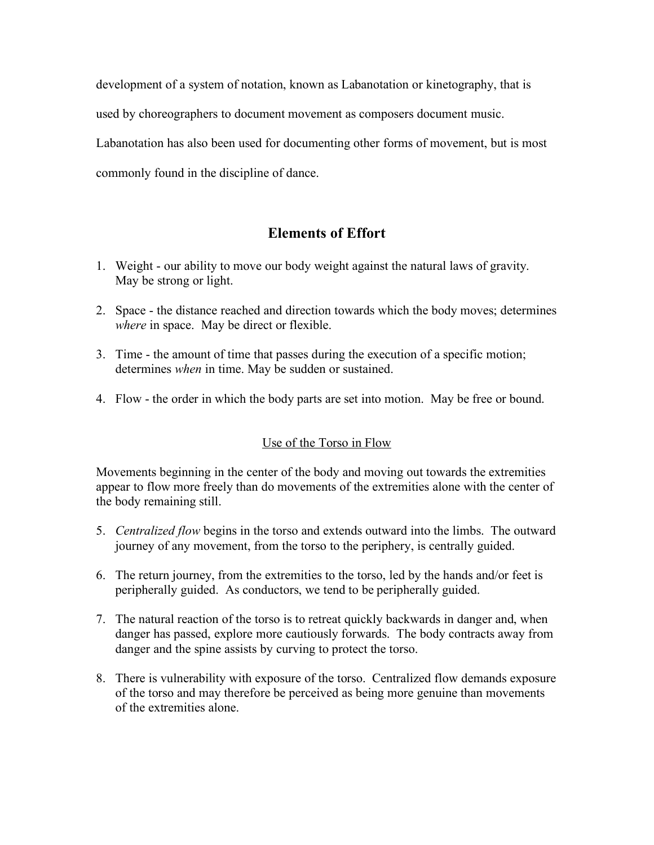development of a system of notation, known as Labanotation or kinetography, that is used by choreographers to document movement as composers document music. Labanotation has also been used for documenting other forms of movement, but is most commonly found in the discipline of dance.

# **Elements of Effort**

- 1. Weight our ability to move our body weight against the natural laws of gravity. May be strong or light.
- 2. Space the distance reached and direction towards which the body moves; determines *where* in space. May be direct or flexible.
- 3. Time the amount of time that passes during the execution of a specific motion; determines *when* in time. May be sudden or sustained.
- 4. Flow the order in which the body parts are set into motion. May be free or bound.

## Use of the Torso in Flow

Movements beginning in the center of the body and moving out towards the extremities appear to flow more freely than do movements of the extremities alone with the center of the body remaining still.

- 5. *Centralized flow* begins in the torso and extends outward into the limbs. The outward journey of any movement, from the torso to the periphery, is centrally guided.
- 6. The return journey, from the extremities to the torso, led by the hands and/or feet is peripherally guided. As conductors, we tend to be peripherally guided.
- 7. The natural reaction of the torso is to retreat quickly backwards in danger and, when danger has passed, explore more cautiously forwards. The body contracts away from danger and the spine assists by curving to protect the torso.
- 8. There is vulnerability with exposure of the torso. Centralized flow demands exposure of the torso and may therefore be perceived as being more genuine than movements of the extremities alone.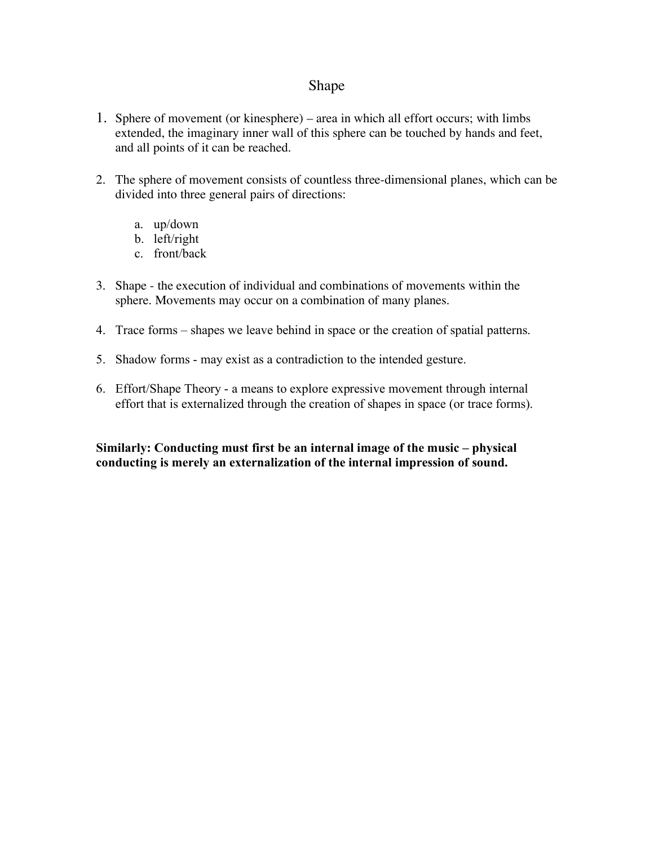# Shape

- 1. Sphere of movement (or kinesphere) area in which all effort occurs; with limbs extended, the imaginary inner wall of this sphere can be touched by hands and feet, and all points of it can be reached.
- 2. The sphere of movement consists of countless three-dimensional planes, which can be divided into three general pairs of directions:
	- a. up/down
	- b. left/right
	- c. front/back
- 3. Shape the execution of individual and combinations of movements within the sphere. Movements may occur on a combination of many planes.
- 4. Trace forms shapes we leave behind in space or the creation of spatial patterns.
- 5. Shadow forms may exist as a contradiction to the intended gesture.
- 6. Effort/Shape Theory a means to explore expressive movement through internal effort that is externalized through the creation of shapes in space (or trace forms).

### **Similarly: Conducting must first be an internal image of the music – physical conducting is merely an externalization of the internal impression of sound.**